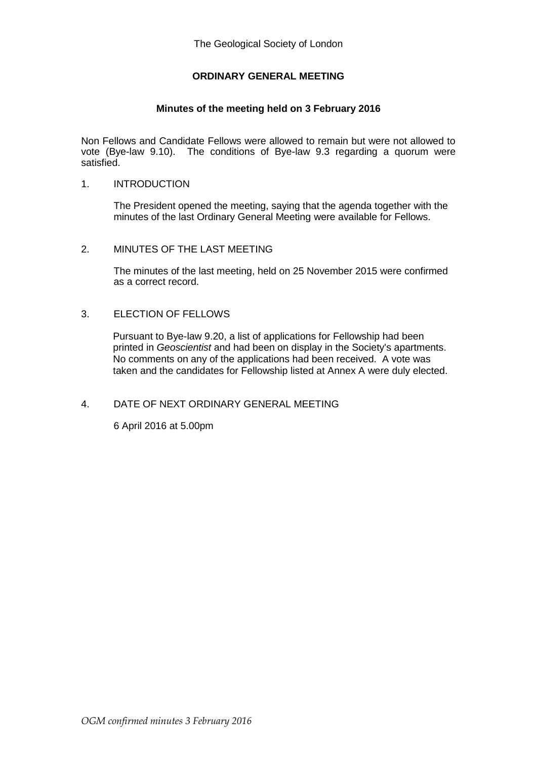# **ORDINARY GENERAL MEETING**

# **Minutes of the meeting held on 3 February 2016**

Non Fellows and Candidate Fellows were allowed to remain but were not allowed to vote (Bye-law 9.10). The conditions of Bye-law 9.3 regarding a quorum were satisfied.

## 1. INTRODUCTION

The President opened the meeting, saying that the agenda together with the minutes of the last Ordinary General Meeting were available for Fellows.

## 2. MINUTES OF THE LAST MEETING

The minutes of the last meeting, held on 25 November 2015 were confirmed as a correct record.

# 3. ELECTION OF FELLOWS

Pursuant to Bye-law 9.20, a list of applications for Fellowship had been printed in *Geoscientist* and had been on display in the Society's apartments. No comments on any of the applications had been received. A vote was taken and the candidates for Fellowship listed at Annex A were duly elected.

# 4. DATE OF NEXT ORDINARY GENERAL MEETING

6 April 2016 at 5.00pm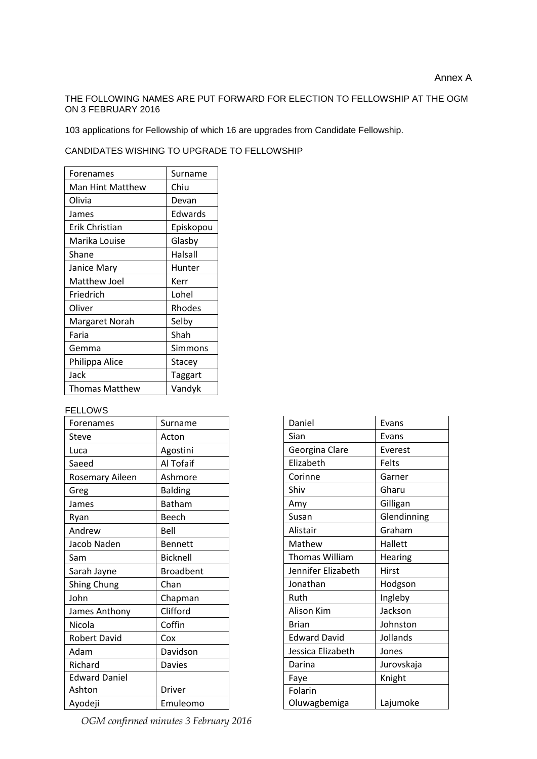## THE FOLLOWING NAMES ARE PUT FORWARD FOR ELECTION TO FELLOWSHIP AT THE OGM ON 3 FEBRUARY 2016

103 applications for Fellowship of which 16 are upgrades from Candidate Fellowship.

CANDIDATES WISHING TO UPGRADE TO FELLOWSHIP

| Forenames        | Surname   |
|------------------|-----------|
| Man Hint Matthew | Chiu      |
| Olivia           | Devan     |
| James            | Edwards   |
| Erik Christian   | Episkopou |
| Marika Louise    | Glasby    |
| Shane            | Halsall   |
| Janice Mary      | Hunter    |
| Matthew Joel     | Kerr      |
| Friedrich        | Lohel     |
| Oliver           | Rhodes    |
| Margaret Norah   | Selby     |
| Faria            | Shah      |
| Gemma            | Simmons   |
| Philippa Alice   | Stacey    |
| Jack             | Taggart   |
| Thomas Matthew   | Vandyk    |

#### FELLOWS

| Forenames              | Surname          |
|------------------------|------------------|
| Steve                  | Acton            |
| Luca                   | Agostini         |
| Saeed                  | Al Tofaif        |
| <b>Rosemary Aileen</b> | Ashmore          |
| Greg                   | <b>Balding</b>   |
| James                  | <b>Batham</b>    |
| Ryan                   | Beech            |
| Andrew                 | Bell             |
| Jacob Naden            | <b>Bennett</b>   |
| Sam                    | <b>Bicknell</b>  |
| Sarah Jayne            | <b>Broadbent</b> |
| <b>Shing Chung</b>     | Chan             |
| John                   | Chapman          |
| James Anthony          | Clifford         |
| Nicola                 | Coffin           |
| <b>Robert David</b>    | Cox              |
| Adam                   | Davidson         |
| Richard                | <b>Davies</b>    |
| <b>Edward Daniel</b>   |                  |
| Ashton                 | Driver           |
| Ayodeji                | Emuleomo         |

Daniel **Evans** Sian **Evans** Georgina Clare | Everest Elizabeth Felts Corinne Garner Shiv Gharu Amy Gilligan Susan Glendinning Alistair Graham Mathew | Hallett Thomas William  $\vert$  Hearing Jennifer Elizabeth | Hirst Jonathan | Hodgson Ruth Ingleby Alison Kim Jackson Brian Johnston Edward David Jollands Jessica Elizabeth Jones Darina | Jurovskaja Faye Right Folarin Oluwagbemiga Lajumoke

*OGM confirmed minutes 3 February 2016*